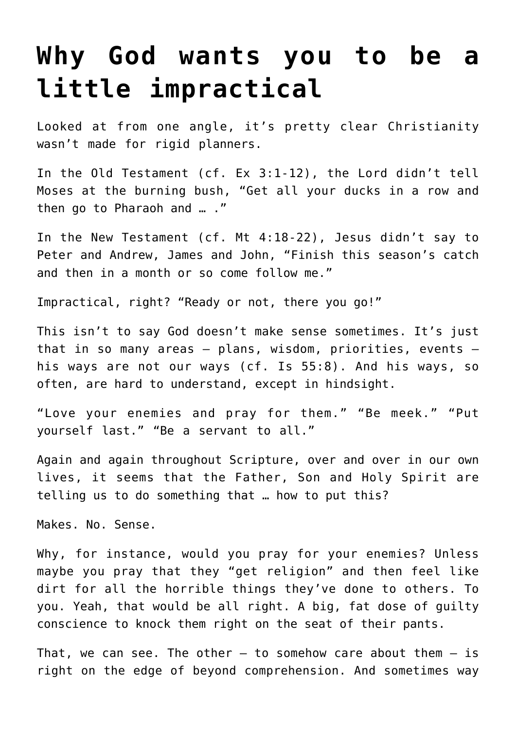## **[Why God wants you to be a](https://www.osvnews.com/2019/03/13/why-god-wants-you-to-be-a-little-impractical/) [little impractical](https://www.osvnews.com/2019/03/13/why-god-wants-you-to-be-a-little-impractical/)**

Looked at from one angle, it's pretty clear Christianity wasn't made for rigid planners.

In the Old Testament (cf. Ex 3:1-12), the Lord didn't tell Moses at the burning bush, "Get all your ducks in a row and then go to Pharaoh and … ."

In the New Testament (cf. Mt 4:18-22), Jesus didn't say to Peter and Andrew, James and John, "Finish this season's catch and then in a month or so come follow me."

Impractical, right? "Ready or not, there you go!"

This isn't to say God doesn't make sense sometimes. It's just that in so many areas — plans, wisdom, priorities, events his ways are not our ways (cf. Is 55:8). And his ways, so often, are hard to understand, except in hindsight.

"Love your enemies and pray for them." "Be meek." "Put yourself last." "Be a servant to all."

Again and again throughout Scripture, over and over in our own lives, it seems that the Father, Son and Holy Spirit are telling us to do something that … how to put this?

Makes. No. Sense.

Why, for instance, would you pray for your enemies? Unless maybe you pray that they "get religion" and then feel like dirt for all the horrible things they've done to others. To you. Yeah, that would be all right. A big, fat dose of guilty conscience to knock them right on the seat of their pants.

That, we can see. The other  $-$  to somehow care about them  $-$  is right on the edge of beyond comprehension. And sometimes way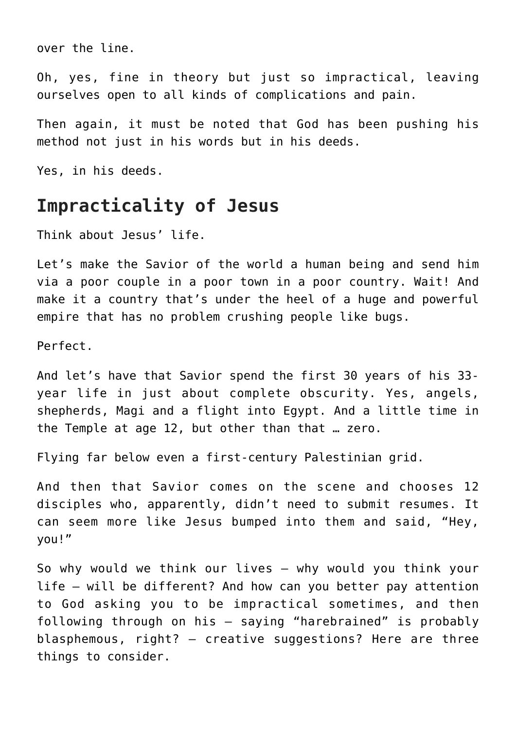over the line.

Oh, yes, fine in theory but just so impractical, leaving ourselves open to all kinds of complications and pain.

Then again, it must be noted that God has been pushing his method not just in his words but in his deeds.

Yes, in his deeds.

## **Impracticality of Jesus**

Think about Jesus' life.

Let's make the Savior of the world a human being and send him via a poor couple in a poor town in a poor country. Wait! And make it a country that's under the heel of a huge and powerful empire that has no problem crushing people like bugs.

Perfect.

And let's have that Savior spend the first 30 years of his 33 year life in just about complete obscurity. Yes, angels, shepherds, Magi and a flight into Egypt. And a little time in the Temple at age 12, but other than that … zero.

Flying far below even a first-century Palestinian grid.

And then that Savior comes on the scene and chooses 12 disciples who, apparently, didn't need to submit resumes. It can seem more like Jesus bumped into them and said, "Hey, you!"

So why would we think our lives – why would you think your life — will be different? And how can you better pay attention to God asking you to be impractical sometimes, and then following through on his — saying "harebrained" is probably blasphemous, right? — creative suggestions? Here are three things to consider.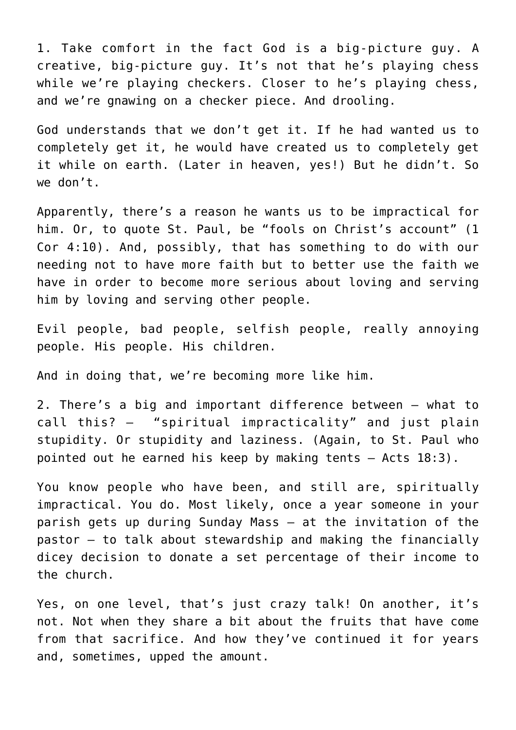1. Take comfort in the fact God is a big-picture guy. A creative, big-picture guy. It's not that he's playing chess while we're playing checkers. Closer to he's playing chess, and we're gnawing on a checker piece. And drooling.

God understands that we don't get it. If he had wanted us to completely get it, he would have created us to completely get it while on earth. (Later in heaven, yes!) But he didn't. So we don't.

Apparently, there's a reason he wants us to be impractical for him. Or, to quote St. Paul, be "fools on Christ's account" (1 Cor 4:10). And, possibly, that has something to do with our needing not to have more faith but to better use the faith we have in order to become more serious about loving and serving him by loving and serving other people.

Evil people, bad people, selfish people, really annoying people. His people. His children.

And in doing that, we're becoming more like him.

2. There's a big and important difference between — what to call this? — "spiritual impracticality" and just plain stupidity. Or stupidity and laziness. (Again, to St. Paul who pointed out he earned his keep by making tents — Acts 18:3).

You know people who have been, and still are, spiritually impractical. You do. Most likely, once a year someone in your parish gets up during Sunday Mass — at the invitation of the pastor — to talk about stewardship and making the financially dicey decision to donate a set percentage of their income to the church.

Yes, on one level, that's just crazy talk! On another, it's not. Not when they share a bit about the fruits that have come from that sacrifice. And how they've continued it for years and, sometimes, upped the amount.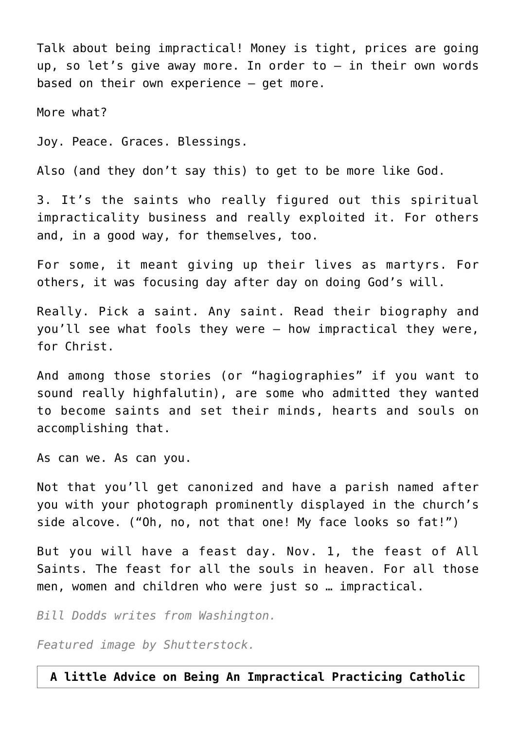Talk about being impractical! Money is tight, prices are going up, so let's give away more. In order to — in their own words based on their own experience — get more.

More what?

Joy. Peace. Graces. Blessings.

Also (and they don't say this) to get to be more like God.

3. It's the saints who really figured out this spiritual impracticality business and really exploited it. For others and, in a good way, for themselves, too.

For some, it meant giving up their lives as martyrs. For others, it was focusing day after day on doing God's will.

Really. Pick a saint. Any saint. Read their biography and you'll see what fools they were — how impractical they were, for Christ.

And among those stories (or "hagiographies" if you want to sound really highfalutin), are some who admitted they wanted to become saints and set their minds, hearts and souls on accomplishing that.

As can we. As can you.

Not that you'll get canonized and have a parish named after you with your photograph prominently displayed in the church's side alcove. ("Oh, no, not that one! My face looks so fat!")

But you will have a feast day. Nov. 1, the feast of All Saints. The feast for all the souls in heaven. For all those men, women and children who were just so … impractical.

*Bill Dodds writes from Washington.*

*Featured image by Shutterstock.*

**A little Advice on Being An Impractical Practicing Catholic**